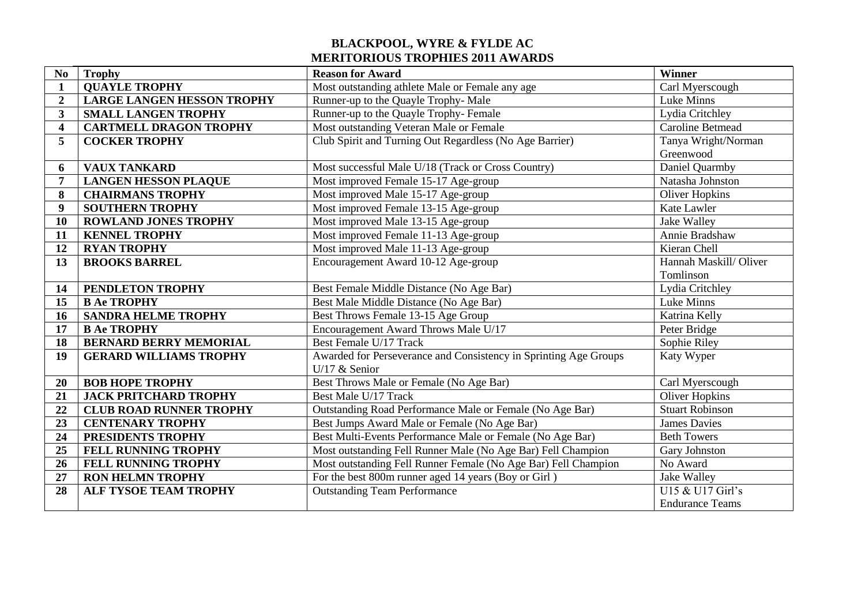## **BLACKPOOL, WYRE & FYLDE AC MERITORIOUS TROPHIES 2011 AWARDS**

| N <sub>0</sub>          | <b>Trophy</b>                     | <b>Reason for Award</b>                                          | Winner                  |
|-------------------------|-----------------------------------|------------------------------------------------------------------|-------------------------|
| $\mathbf{1}$            | <b>QUAYLE TROPHY</b>              | Most outstanding athlete Male or Female any age                  | Carl Myerscough         |
| $\overline{2}$          | <b>LARGE LANGEN HESSON TROPHY</b> | Runner-up to the Quayle Trophy-Male                              | Luke Minns              |
| 3                       | <b>SMALL LANGEN TROPHY</b>        | Runner-up to the Quayle Trophy-Female                            | Lydia Critchley         |
| $\overline{\mathbf{4}}$ | <b>CARTMELL DRAGON TROPHY</b>     | Most outstanding Veteran Male or Female                          | <b>Caroline Betmead</b> |
| 5                       | <b>COCKER TROPHY</b>              | Club Spirit and Turning Out Regardless (No Age Barrier)          | Tanya Wright/Norman     |
|                         |                                   |                                                                  | Greenwood               |
| 6                       | <b>VAUX TANKARD</b>               | Most successful Male U/18 (Track or Cross Country)               | Daniel Quarmby          |
| 7                       | <b>LANGEN HESSON PLAQUE</b>       | Most improved Female 15-17 Age-group                             | Natasha Johnston        |
| 8                       | <b>CHAIRMANS TROPHY</b>           | Most improved Male 15-17 Age-group                               | <b>Oliver Hopkins</b>   |
| 9                       | <b>SOUTHERN TROPHY</b>            | Most improved Female 13-15 Age-group                             | Kate Lawler             |
| 10                      | <b>ROWLAND JONES TROPHY</b>       | Most improved Male 13-15 Age-group                               | Jake Walley             |
| 11                      | <b>KENNEL TROPHY</b>              | Most improved Female 11-13 Age-group                             | Annie Bradshaw          |
| 12                      | <b>RYAN TROPHY</b>                | Most improved Male 11-13 Age-group                               | Kieran Chell            |
| 13                      | <b>BROOKS BARREL</b>              | Encouragement Award 10-12 Age-group                              | Hannah Maskill/ Oliver  |
|                         |                                   |                                                                  | Tomlinson               |
| 14                      | PENDLETON TROPHY                  | Best Female Middle Distance (No Age Bar)                         | Lydia Critchley         |
| 15                      | <b>B Ae TROPHY</b>                | Best Male Middle Distance (No Age Bar)                           | Luke Minns              |
| 16                      | <b>SANDRA HELME TROPHY</b>        | Best Throws Female 13-15 Age Group                               | Katrina Kelly           |
| 17                      | <b>B Ae TROPHY</b>                | Encouragement Award Throws Male U/17                             | Peter Bridge            |
| 18                      | <b>BERNARD BERRY MEMORIAL</b>     | Best Female U/17 Track                                           | Sophie Riley            |
| 19                      | <b>GERARD WILLIAMS TROPHY</b>     | Awarded for Perseverance and Consistency in Sprinting Age Groups | Katy Wyper              |
|                         |                                   | U/17 $&$ Senior                                                  |                         |
| 20                      | <b>BOB HOPE TROPHY</b>            | Best Throws Male or Female (No Age Bar)                          | Carl Myerscough         |
| 21                      | <b>JACK PRITCHARD TROPHY</b>      | Best Male U/17 Track                                             | <b>Oliver Hopkins</b>   |
| 22                      | <b>CLUB ROAD RUNNER TROPHY</b>    | Outstanding Road Performance Male or Female (No Age Bar)         | <b>Stuart Robinson</b>  |
| 23                      | <b>CENTENARY TROPHY</b>           | Best Jumps Award Male or Female (No Age Bar)                     | <b>James Davies</b>     |
| 24                      | PRESIDENTS TROPHY                 | Best Multi-Events Performance Male or Female (No Age Bar)        | <b>Beth Towers</b>      |
| 25                      | <b>FELL RUNNING TROPHY</b>        | Most outstanding Fell Runner Male (No Age Bar) Fell Champion     | Gary Johnston           |
| 26                      | FELL RUNNING TROPHY               | Most outstanding Fell Runner Female (No Age Bar) Fell Champion   | No Award                |
| 27                      | <b>RON HELMN TROPHY</b>           | For the best 800m runner aged 14 years (Boy or Girl)             | Jake Walley             |
| 28                      | <b>ALF TYSOE TEAM TROPHY</b>      | <b>Outstanding Team Performance</b>                              | U15 & U17 Girl's        |
|                         |                                   |                                                                  | <b>Endurance Teams</b>  |